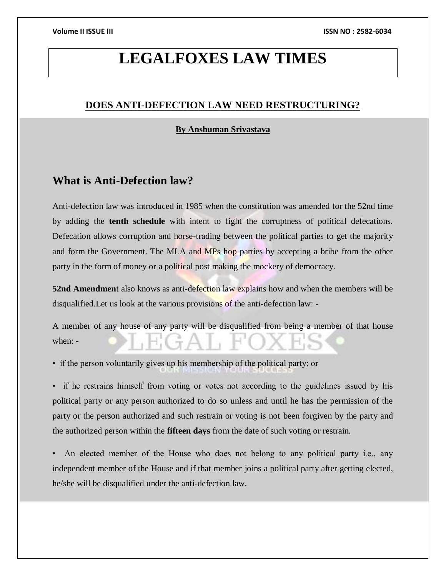# **LEGALFOXES LAW TIMES**

#### **DOES ANTI-DEFECTION LAW NEED RESTRUCTURING?**

#### **By Anshuman Srivastava**

## **What is Anti-Defection law?**

Anti-defection law was introduced in 1985 when the constitution was amended for the 52nd time by adding the **tenth schedule** with intent to fight the corruptness of political defecations. Defecation allows corruption and horse-trading between the political parties to get the majority and form the Government. The MLA and MPs hop parties by accepting a bribe from the other party in the form of money or a political post making the mockery of democracy.

**52nd Amendment** also knows as anti-defection law explains how and when the members will be disqualified.Let us look at the various provisions of the anti-defection law: -

A member of any house of any party will be disqualified from being a member of that house when: -

• if the person voluntarily gives up his membership of the political party; or

• if he restrains himself from voting or votes not according to the guidelines issued by his political party or any person authorized to do so unless and until he has the permission of the party or the person authorized and such restrain or voting is not been forgiven by the party and the authorized person within the **fifteen days** from the date of such voting or restrain.

• An elected member of the House who does not belong to any political party i.e., any independent member of the House and if that member joins a political party after getting elected, he/she will be disqualified under the anti-defection law.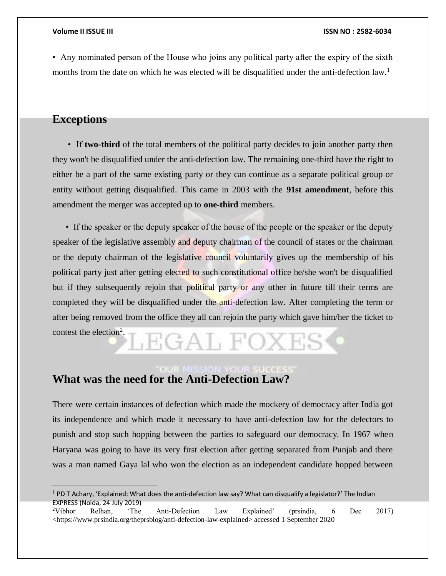• Any nominated person of the House who joins any political party after the expiry of the sixth months from the date on which he was elected will be disqualified under the anti-defection law.<sup>1</sup>

#### **Exceptions**

 $\overline{a}$ 

 • If **two-third** of the total members of the political party decides to join another party then they won't be disqualified under the anti-defection law. The remaining one-third have the right to either be a part of the same existing party or they can continue as a separate political group or entity without getting disqualified. This came in 2003 with the **91st amendment**, before this amendment the merger was accepted up to **one-third** members.

 • If the speaker or the deputy speaker of the house of the people or the speaker or the deputy speaker of the legislative assembly and deputy chairman of the council of states or the chairman or the deputy chairman of the legislative council voluntarily gives up the membership of his political party just after getting elected to such constitutional office he/she won't be disqualified but if they subsequently rejoin that political party or any other in future till their terms are completed they will be disqualified under the anti-defection law. After completing the term or after being removed from the office they all can rejoin the party which gave him/her the ticket to contest the election<sup>2</sup>.  $\div$  A  $\Box$ 

# **What was the need for the Anti-Defection Law?**

There were certain instances of defection which made the mockery of democracy after India got its independence and which made it necessary to have anti-defection law for the defectors to punish and stop such hopping between the parties to safeguard our democracy. In 1967 when Haryana was going to have its very first election after getting separated from Punjab and there was a man named Gaya lal who won the election as an independent candidate hopped between

<sup>1</sup> PD T Achary, 'Explained: What does the anti-defection law say? What can disqualify a legislator?' The Indian EXPRESS (Noida, 24 July 2019)

<sup>2</sup>Vibhor Relhan, 'The Anti-Defection Law Explained' (prsindia, 6 Dec 2017) <https://www.prsindia.org/theprsblog/anti-defection-law-explained> accessed 1 September 2020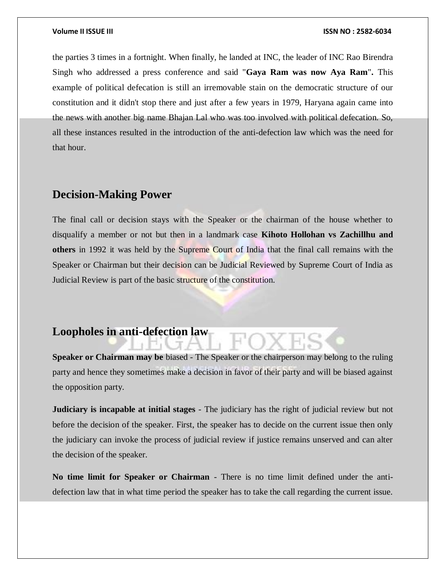#### **Volume II ISSUE III ISSN NO : 2582-6034**

the parties 3 times in a fortnight. When finally, he landed at INC, the leader of INC Rao Birendra Singh who addressed a press conference and said "**Gaya Ram was now Aya Ram**"**.** This example of political defecation is still an irremovable stain on the democratic structure of our constitution and it didn't stop there and just after a few years in 1979, Haryana again came into the news with another big name Bhajan Lal who was too involved with political defecation. So, all these instances resulted in the introduction of the anti-defection law which was the need for that hour.

#### **Decision-Making Power**

The final call or decision stays with the Speaker or the chairman of the house whether to disqualify a member or not but then in a landmark case **Kihoto Hollohan vs Zachillhu and others** in 1992 it was held by the Supreme Court of India that the final call remains with the Speaker or Chairman but their decision can be Judicial Reviewed by Supreme Court of India as Judicial Review is part of the basic structure of the constitution.

# **Loopholes in anti-defection law**

**Speaker or Chairman may be** biased - The Speaker or the chairperson may belong to the ruling party and hence they sometimes make a decision in favor of their party and will be biased against the opposition party.

**Judiciary is incapable at initial stages** - The judiciary has the right of judicial review but not before the decision of the speaker. First, the speaker has to decide on the current issue then only the judiciary can invoke the process of judicial review if justice remains unserved and can alter the decision of the speaker.

**No time limit for Speaker or Chairman** - There is no time limit defined under the antidefection law that in what time period the speaker has to take the call regarding the current issue.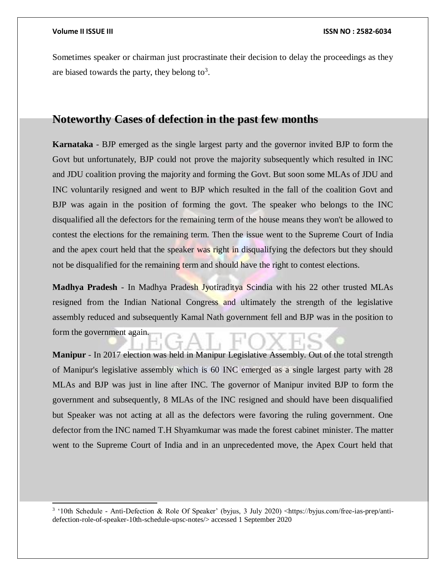l

Sometimes speaker or chairman just procrastinate their decision to delay the proceedings as they are biased towards the party, they belong to<sup>3</sup>.

## **Noteworthy Cases of defection in the past few months**

**Karnataka** - BJP emerged as the single largest party and the governor invited BJP to form the Govt but unfortunately, BJP could not prove the majority subsequently which resulted in INC and JDU coalition proving the majority and forming the Govt. But soon some MLAs of JDU and INC voluntarily resigned and went to BJP which resulted in the fall of the coalition Govt and BJP was again in the position of forming the govt. The speaker who belongs to the INC disqualified all the defectors for the remaining term of the house means they won't be allowed to contest the elections for the remaining term. Then the issue went to the Supreme Court of India and the apex court held that the speaker was right in disqualifying the defectors but they should not be disqualified for the remaining term and should have the right to contest elections.

**Madhya Pradesh** - In Madhya Pradesh Jyotiraditya Scindia with his 22 other trusted MLAs resigned from the Indian National Congress and ultimately the strength of the legislative assembly reduced and subsequently Kamal Nath government fell and BJP was in the position to form the government again.

**Manipur** - In 2017 election was held in Manipur Legislative Assembly. Out of the total strength of Manipur's legislative assembly which is 60 INC emerged as a single largest party with 28 MLAs and BJP was just in line after INC. The governor of Manipur invited BJP to form the government and subsequently, 8 MLAs of the INC resigned and should have been disqualified but Speaker was not acting at all as the defectors were favoring the ruling government. One defector from the INC named T.H Shyamkumar was made the forest cabinet minister. The matter went to the Supreme Court of India and in an unprecedented move, the Apex Court held that

<sup>3</sup> '10th Schedule - Anti-Defection & Role Of Speaker' (byjus, 3 July 2020) <https://byjus.com/free-ias-prep/antidefection-role-of-speaker-10th-schedule-upsc-notes/> accessed 1 September 2020